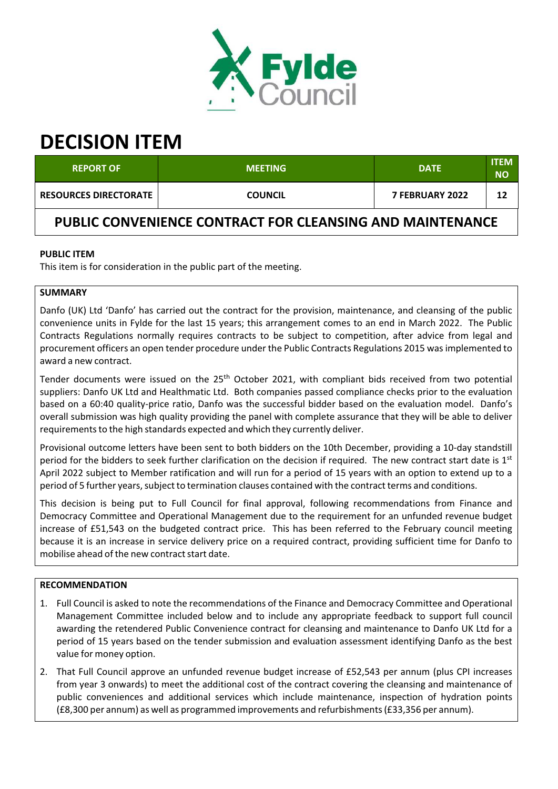

# **DECISION ITEM**

| <b>REPORT OF</b>             | <b>MEETING</b> | <b>DATE</b>            | ITEM<br><b>NO</b> |
|------------------------------|----------------|------------------------|-------------------|
| <b>RESOURCES DIRECTORATE</b> | <b>COUNCIL</b> | <b>7 FEBRUARY 2022</b> | 12                |

**PUBLIC CONVENIENCE CONTRACT FOR CLEANSING AND MAINTENANCE**

# **PUBLIC ITEM**

This item is for consideration in the public part of the meeting.

# **SUMMARY**

Danfo (UK) Ltd 'Danfo' has carried out the contract for the provision, maintenance, and cleansing of the public convenience units in Fylde for the last 15 years; this arrangement comes to an end in March 2022. The Public Contracts Regulations normally requires contracts to be subject to competition, after advice from legal and procurement officers an open tender procedure under the Public Contracts Regulations 2015 wasimplemented to award a new contract.

Tender documents were issued on the 25<sup>th</sup> October 2021, with compliant bids received from two potential suppliers: Danfo UK Ltd and Healthmatic Ltd. Both companies passed compliance checks prior to the evaluation based on a 60:40 quality-price ratio, Danfo was the successful bidder based on the evaluation model. Danfo's overall submission was high quality providing the panel with complete assurance that they will be able to deliver requirements to the high standards expected and which they currently deliver.

Provisional outcome letters have been sent to both bidders on the 10th December, providing a 10‐day standstill period for the bidders to seek further clarification on the decision if required. The new contract start date is 1<sup>st</sup> April 2022 subject to Member ratification and will run for a period of 15 years with an option to extend up to a period of 5 further years, subject to termination clauses contained with the contract terms and conditions.

This decision is being put to Full Council for final approval, following recommendations from Finance and Democracy Committee and Operational Management due to the requirement for an unfunded revenue budget increase of £51,543 on the budgeted contract price. This has been referred to the February council meeting because it is an increase in service delivery price on a required contract, providing sufficient time for Danfo to mobilise ahead of the new contract start date.

# **RECOMMENDATION**

- 1. Full Council is asked to note the recommendations of the Finance and Democracy Committee and Operational Management Committee included below and to include any appropriate feedback to support full council awarding the retendered Public Convenience contract for cleansing and maintenance to Danfo UK Ltd for a period of 15 years based on the tender submission and evaluation assessment identifying Danfo as the best value for money option.
- 2. That Full Council approve an unfunded revenue budget increase of £52,543 per annum (plus CPI increases from year 3 onwards) to meet the additional cost of the contract covering the cleansing and maintenance of public conveniences and additional services which include maintenance, inspection of hydration points (£8,300 per annum) as well as programmed improvements and refurbishments(£33,356 per annum).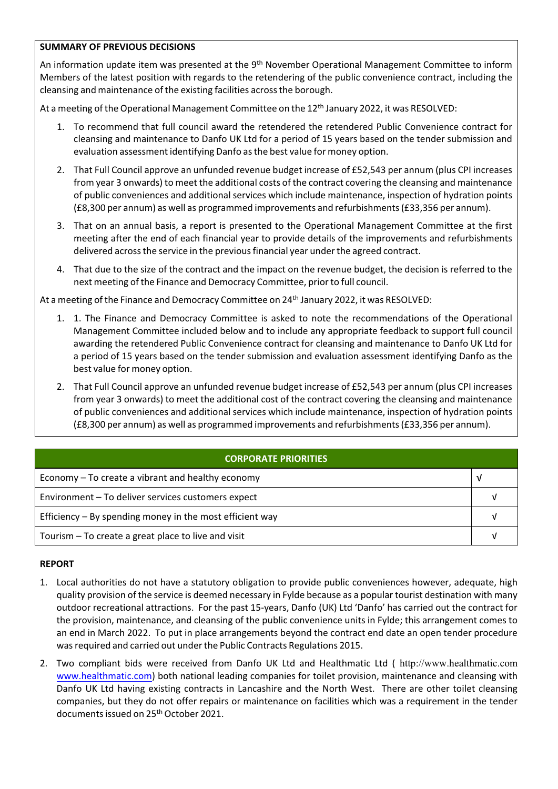## **SUMMARY OF PREVIOUS DECISIONS**

An information update item was presented at the 9<sup>th</sup> November Operational Management Committee to inform Members of the latest position with regards to the retendering of the public convenience contract, including the cleansing and maintenance of the existing facilities acrossthe borough.

At a meeting of the Operational Management Committee on the 12<sup>th</sup> January 2022, it was RESOLVED:

- 1. To recommend that full council award the retendered the retendered Public Convenience contract for cleansing and maintenance to Danfo UK Ltd for a period of 15 years based on the tender submission and evaluation assessment identifying Danfo asthe best value for money option.
- 2. That Full Council approve an unfunded revenue budget increase of £52,543 per annum (plus CPI increases from year 3 onwards) to meet the additional costs of the contract covering the cleansing and maintenance of public conveniences and additional services which include maintenance, inspection of hydration points (£8,300 per annum) as well as programmed improvements and refurbishments(£33,356 per annum).
- 3. That on an annual basis, a report is presented to the Operational Management Committee at the first meeting after the end of each financial year to provide details of the improvements and refurbishments delivered across the service in the previous financial year under the agreed contract.
- 4. That due to the size of the contract and the impact on the revenue budget, the decision is referred to the next meeting of the Finance and Democracy Committee, prior to full council.

At a meeting of the Finance and Democracy Committee on 24<sup>th</sup> January 2022, it was RESOLVED:

- 1. 1. The Finance and Democracy Committee is asked to note the recommendations of the Operational Management Committee included below and to include any appropriate feedback to support full council awarding the retendered Public Convenience contract for cleansing and maintenance to Danfo UK Ltd for a period of 15 years based on the tender submission and evaluation assessment identifying Danfo as the best value for money option.
- 2. That Full Council approve an unfunded revenue budget increase of £52,543 per annum (plus CPI increases from year 3 onwards) to meet the additional cost of the contract covering the cleansing and maintenance of public conveniences and additional services which include maintenance, inspection of hydration points (£8,300 per annum) as well as programmed improvements and refurbishments(£33,356 per annum).

| <b>CORPORATE PRIORITIES</b>                                |  |  |
|------------------------------------------------------------|--|--|
| Economy – To create a vibrant and healthy economy          |  |  |
| Environment - To deliver services customers expect         |  |  |
| Efficiency $-$ By spending money in the most efficient way |  |  |
| Tourism – To create a great place to live and visit        |  |  |

#### **REPORT**

- 1. Local authorities do not have a statutory obligation to provide public conveniences however, adequate, high quality provision of the service is deemed necessary in Fylde because as a popular tourist destination with many outdoor recreational attractions. For the past 15‐years, Danfo (UK) Ltd 'Danfo' has carried out the contract for the provision, maintenance, and cleansing of the public convenience units in Fylde; this arrangement comes to an end in March 2022. To put in place arrangements beyond the contract end date an open tender procedure was required and carried out under the Public Contracts Regulations 2015.
- 2. Two compliant bids were received from Danfo UK Ltd and Healthmatic Ltd ( http://www.healthmatic.com www.healthmatic.com) both national leading companies for toilet provision, maintenance and cleansing with Danfo UK Ltd having existing contracts in Lancashire and the North West. There are other toilet cleansing companies, but they do not offer repairs or maintenance on facilities which was a requirement in the tender documents issued on 25<sup>th</sup> October 2021.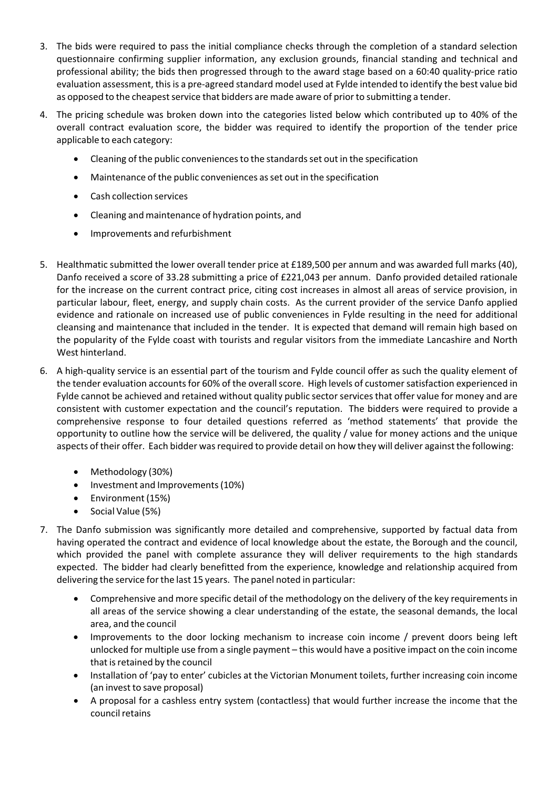- 3. The bids were required to pass the initial compliance checks through the completion of a standard selection questionnaire confirming supplier information, any exclusion grounds, financial standing and technical and professional ability; the bids then progressed through to the award stage based on a 60:40 quality‐price ratio evaluation assessment, thisis a pre‐agreed standard model used at Fylde intended to identify the best value bid as opposed to the cheapest service that bidders are made aware of prior to submitting a tender.
- 4. The pricing schedule was broken down into the categories listed below which contributed up to 40% of the overall contract evaluation score, the bidder was required to identify the proportion of the tender price applicable to each category:
	- Cleaning of the public conveniences to the standards set out in the specification
	- Maintenance of the public conveniences asset out in the specification
	- Cash collection services
	- Cleaning and maintenance of hydration points, and
	- Improvements and refurbishment
- 5. Healthmatic submitted the lower overall tender price at £189,500 per annum and was awarded full marks (40), Danfo received a score of 33.28 submitting a price of £221,043 per annum. Danfo provided detailed rationale for the increase on the current contract price, citing cost increases in almost all areas of service provision, in particular labour, fleet, energy, and supply chain costs. As the current provider of the service Danfo applied evidence and rationale on increased use of public conveniences in Fylde resulting in the need for additional cleansing and maintenance that included in the tender. It is expected that demand will remain high based on the popularity of the Fylde coast with tourists and regular visitors from the immediate Lancashire and North West hinterland.
- 6. A high‐quality service is an essential part of the tourism and Fylde council offer as such the quality element of the tender evaluation accounts for 60% of the overall score. High levels of customer satisfaction experienced in Fylde cannot be achieved and retained without quality public sector services that offer value for money and are consistent with customer expectation and the council's reputation. The bidders were required to provide a comprehensive response to four detailed questions referred as 'method statements' that provide the opportunity to outline how the service will be delivered, the quality / value for money actions and the unique aspects of their offer. Each bidder wasrequired to provide detail on how they will deliver against the following:
	- Methodology (30%)
	- Investment and Improvements (10%)
	- Environment (15%)
	- Social Value (5%)
- 7. The Danfo submission was significantly more detailed and comprehensive, supported by factual data from having operated the contract and evidence of local knowledge about the estate, the Borough and the council, which provided the panel with complete assurance they will deliver requirements to the high standards expected. The bidder had clearly benefitted from the experience, knowledge and relationship acquired from delivering the service for the last 15 years. The panel noted in particular:
	- Comprehensive and more specific detail of the methodology on the delivery of the key requirementsin all areas of the service showing a clear understanding of the estate, the seasonal demands, the local area, and the council
	- Improvements to the door locking mechanism to increase coin income / prevent doors being left unlocked for multiple use from a single payment – this would have a positive impact on the coin income that isretained by the council
	- Installation of 'pay to enter' cubicles at the Victorian Monument toilets, further increasing coin income (an invest to save proposal)
	- A proposal for a cashless entry system (contactless) that would further increase the income that the councilretains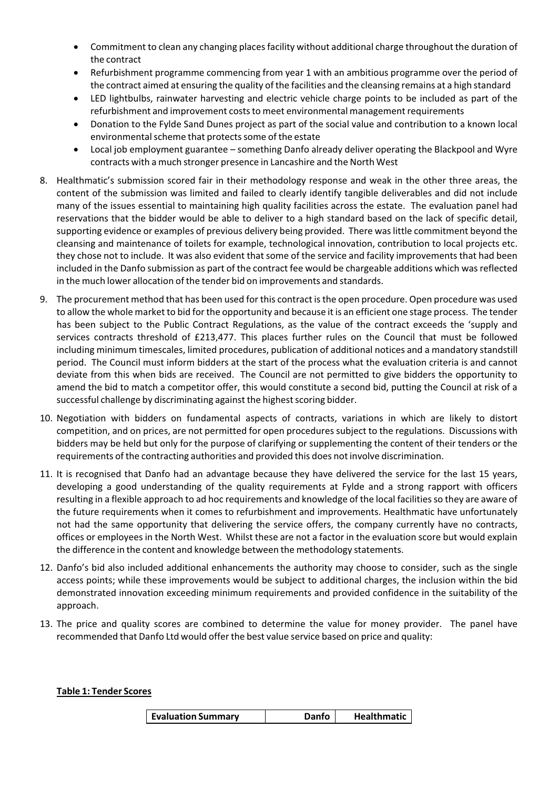- Commitment to clean any changing placesfacility without additional charge throughout the duration of the contract
- Refurbishment programme commencing from year 1 with an ambitious programme over the period of the contract aimed at ensuring the quality of the facilities and the cleansing remains at a high standard
- LED lightbulbs, rainwater harvesting and electric vehicle charge points to be included as part of the refurbishment and improvement costs to meet environmental management requirements
- Donation to the Fylde Sand Dunes project as part of the social value and contribution to a known local environmental scheme that protects some of the estate
- Local job employment guarantee something Danfo already deliver operating the Blackpool and Wyre contracts with a much stronger presence in Lancashire and the North West
- 8. Healthmatic's submission scored fair in their methodology response and weak in the other three areas, the content of the submission was limited and failed to clearly identify tangible deliverables and did not include many of the issues essential to maintaining high quality facilities across the estate. The evaluation panel had reservations that the bidder would be able to deliver to a high standard based on the lack of specific detail, supporting evidence or examples of previous delivery being provided. There waslittle commitment beyond the cleansing and maintenance of toilets for example, technological innovation, contribution to local projects etc. they chose not to include. It was also evident that some of the service and facility improvements that had been included in the Danfo submission as part of the contract fee would be chargeable additions which wasreflected in the much lower allocation of the tender bid on improvements and standards.
- 9. The procurement method that has been used for this contract isthe open procedure. Open procedure was used to allow the whole market to bid forthe opportunity and because it is an efficient one stage process. The tender has been subject to the Public Contract Regulations, as the value of the contract exceeds the 'supply and services contracts threshold of £213,477. This places further rules on the Council that must be followed including minimum timescales, limited procedures, publication of additional notices and a mandatory standstill period. The Council must inform bidders at the start of the process what the evaluation criteria is and cannot deviate from this when bids are received. The Council are not permitted to give bidders the opportunity to amend the bid to match a competitor offer, this would constitute a second bid, putting the Council at risk of a successful challenge by discriminating against the highest scoring bidder.
- 10. Negotiation with bidders on fundamental aspects of contracts, variations in which are likely to distort competition, and on prices, are not permitted for open procedures subject to the regulations. Discussions with bidders may be held but only for the purpose of clarifying or supplementing the content of their tenders or the requirements of the contracting authorities and provided this does not involve discrimination.
- 11. It is recognised that Danfo had an advantage because they have delivered the service for the last 15 years, developing a good understanding of the quality requirements at Fylde and a strong rapport with officers resulting in a flexible approach to ad hoc requirements and knowledge of the local facilitiesso they are aware of the future requirements when it comes to refurbishment and improvements. Healthmatic have unfortunately not had the same opportunity that delivering the service offers, the company currently have no contracts, offices or employees in the North West. Whilst these are not a factor in the evaluation score but would explain the difference in the content and knowledge between the methodology statements.
- 12. Danfo's bid also included additional enhancements the authority may choose to consider, such as the single access points; while these improvements would be subject to additional charges, the inclusion within the bid demonstrated innovation exceeding minimum requirements and provided confidence in the suitability of the approach.
- 13. The price and quality scores are combined to determine the value for money provider. The panel have recommended that Danfo Ltd would offerthe best value service based on price and quality:

#### **Table 1: Tender Scores**

| <b>Evaluation Summary</b> | <b>Danfo</b> | <b>Healthmatic</b> |
|---------------------------|--------------|--------------------|
|---------------------------|--------------|--------------------|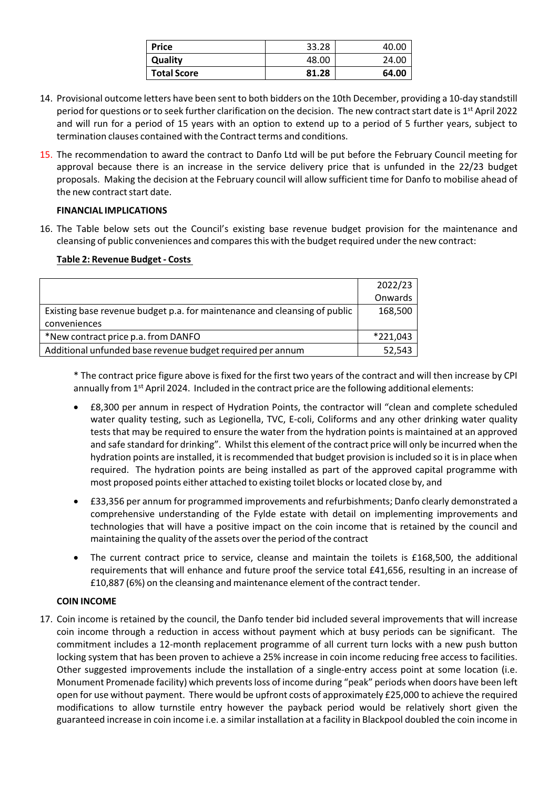| <b>Price</b>       | 33.28 | 40.00 |
|--------------------|-------|-------|
| Quality            | 48.00 | 24.00 |
| <b>Total Score</b> | 81.28 | 64.00 |

- 14. Provisional outcome letters have been sent to both bidders on the 10th December, providing a 10‐day standstill period for questions or to seek further clarification on the decision. The new contract start date is 1<sup>st</sup> April 2022 and will run for a period of 15 years with an option to extend up to a period of 5 further years, subject to termination clauses contained with the Contract terms and conditions.
- 15. The recommendation to award the contract to Danfo Ltd will be put before the February Council meeting for approval because there is an increase in the service delivery price that is unfunded in the 22/23 budget proposals. Making the decision at the February council will allow sufficient time for Danfo to mobilise ahead of the new contract start date.

## **FINANCIAL IMPLICATIONS**

16. The Table below sets out the Council's existing base revenue budget provision for the maintenance and cleansing of public conveniences and compares this with the budget required under the new contract:

## **Table 2: Revenue Budget ‐ Costs**

|                                                                           | 2022/23  |
|---------------------------------------------------------------------------|----------|
|                                                                           | Onwards  |
| Existing base revenue budget p.a. for maintenance and cleansing of public | 168,500  |
| conveniences                                                              |          |
| *New contract price p.a. from DANFO                                       | *221,043 |
| Additional unfunded base revenue budget required per annum                | 52,543   |

\* The contract price figure above is fixed for the first two years of the contract and will then increase by CPI annually from 1<sup>st</sup> April 2024. Included in the contract price are the following additional elements:

- £8,300 per annum in respect of Hydration Points, the contractor will "clean and complete scheduled water quality testing, such as Legionella, TVC, E-coli, Coliforms and any other drinking water quality tests that may be required to ensure the water from the hydration points is maintained at an approved and safe standard for drinking". Whilst this element of the contract price will only be incurred when the hydration points are installed, it is recommended that budget provision is included so it is in place when required. The hydration points are being installed as part of the approved capital programme with most proposed points either attached to existing toilet blocks orlocated close by, and
- £33,356 per annum for programmed improvements and refurbishments; Danfo clearly demonstrated a comprehensive understanding of the Fylde estate with detail on implementing improvements and technologies that will have a positive impact on the coin income that is retained by the council and maintaining the quality of the assets overthe period of the contract
- The current contract price to service, cleanse and maintain the toilets is £168,500, the additional requirements that will enhance and future proof the service total £41,656, resulting in an increase of £10,887 (6%) on the cleansing and maintenance element of the contract tender.

#### **COIN INCOME**

17. Coin income is retained by the council, the Danfo tender bid included several improvements that will increase coin income through a reduction in access without payment which at busy periods can be significant. The commitment includes a 12-month replacement programme of all current turn locks with a new push button locking system that has been proven to achieve a 25% increase in coin income reducing free access to facilities. Other suggested improvements include the installation of a single‐entry access point at some location (i.e. Monument Promenade facility) which preventsloss of income during "peak" periods when doors have been left open for use without payment. There would be upfront costs of approximately £25,000 to achieve the required modifications to allow turnstile entry however the payback period would be relatively short given the guaranteed increase in coin income i.e. a similar installation at a facility in Blackpool doubled the coin income in